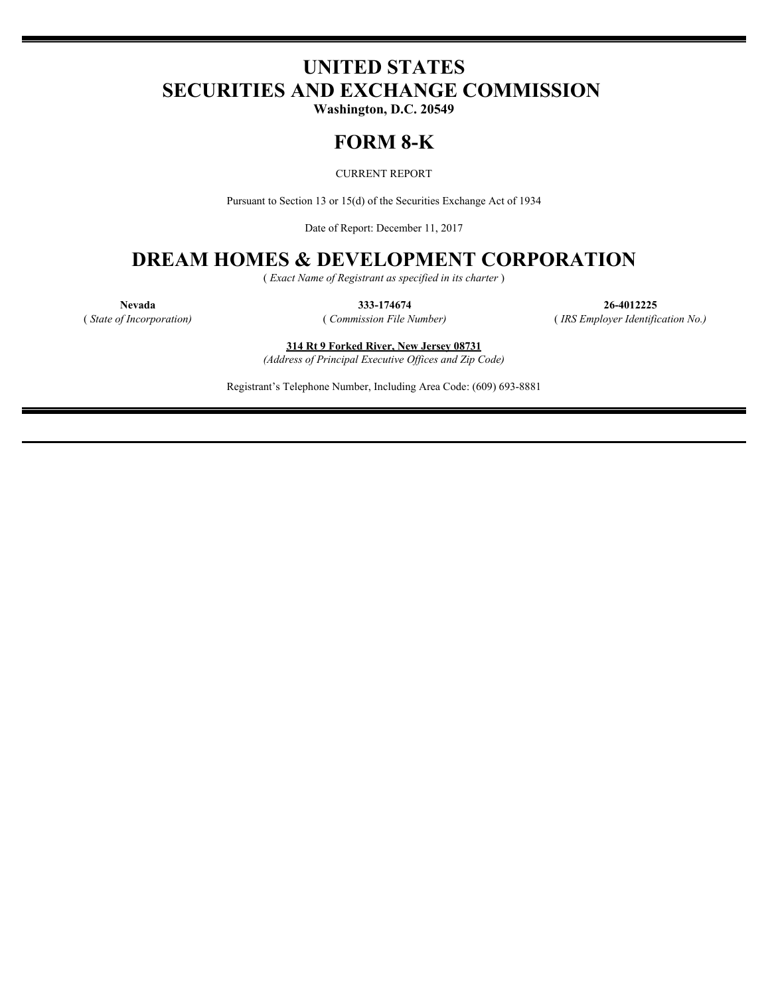# **UNITED STATES SECURITIES AND EXCHANGE COMMISSION**

**Washington, D.C. 20549**

## **FORM 8-K**

CURRENT REPORT

Pursuant to Section 13 or 15(d) of the Securities Exchange Act of 1934

Date of Report: December 11, 2017

## **DREAM HOMES & DEVELOPMENT CORPORATION**

( *Exact Name of Registrant as specified in its charter* )

**Nevada 333-174674 26-4012225** ( *State of Incorporation)* ( *Commission File Number)* ( *IRS Employer Identification No.)*

> **314 Rt 9 Forked River, New Jersey 08731** *(Address of Principal Executive Offices and Zip Code)*

Registrant's Telephone Number, Including Area Code: (609) 693-8881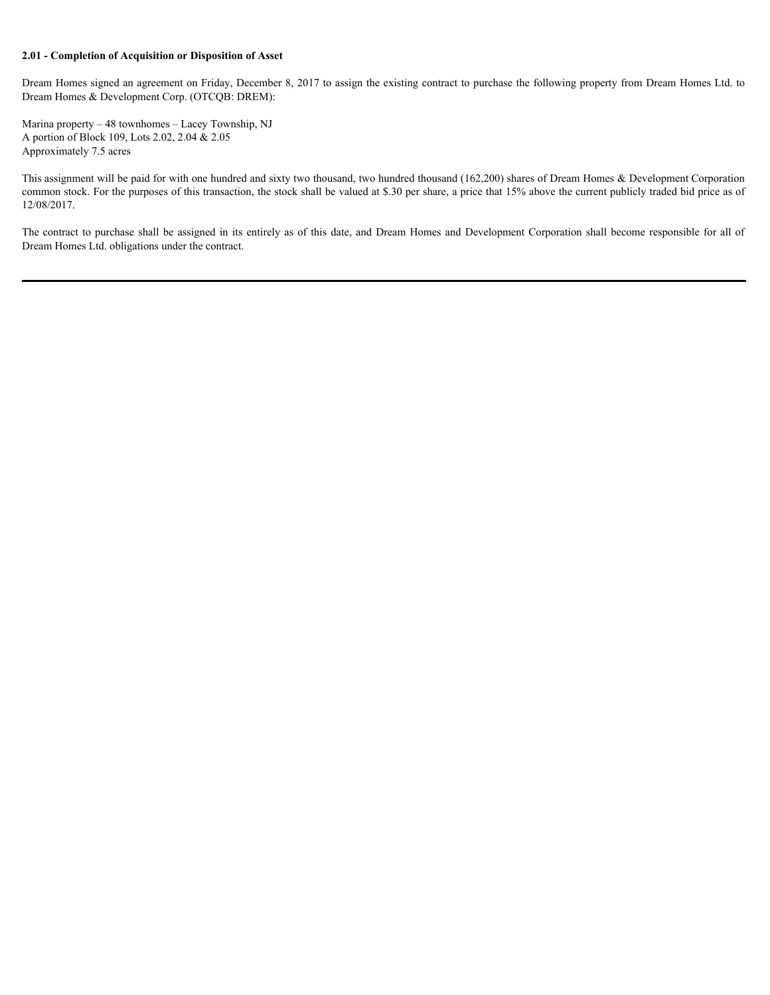#### **2.01 - Completion of Acquisition or Disposition of Asset**

Dream Homes signed an agreement on Friday, December 8, 2017 to assign the existing contract to purchase the following property from Dream Homes Ltd. to Dream Homes & Development Corp. (OTCQB: DREM):

Marina property – 48 townhomes – Lacey Township, NJ A portion of Block 109, Lots 2.02, 2.04 & 2.05 Approximately 7.5 acres

This assignment will be paid for with one hundred and sixty two thousand, two hundred thousand (162,200) shares of Dream Homes & Development Corporation common stock. For the purposes of this transaction, the stock shall be valued at \$.30 per share, a price that 15% above the current publicly traded bid price as of 12/08/2017.

The contract to purchase shall be assigned in its entirely as of this date, and Dream Homes and Development Corporation shall become responsible for all of Dream Homes Ltd. obligations under the contract.